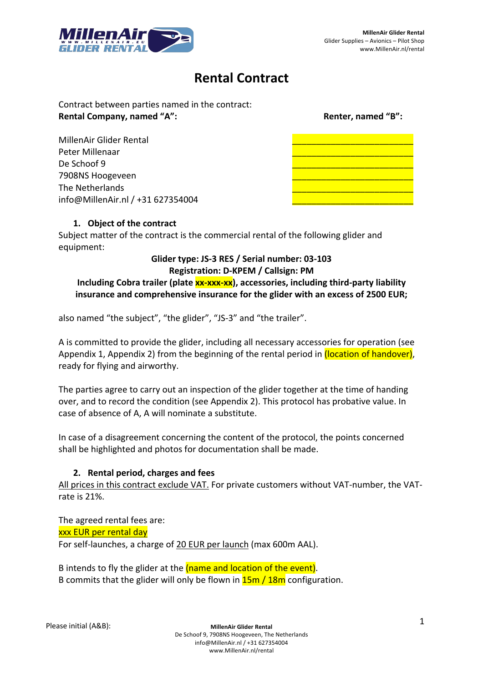

## **Rental Contract**

Contract between parties named in the contract: **Rental Company, named "A": Rental Company, named "B": Renter, named "B": Renter, named "B":** 

MillenAir Glider Rental \_\_\_\_\_\_\_\_\_\_\_\_\_\_\_\_\_\_\_\_\_\_\_\_\_ Peter Millenaar \_\_\_\_\_\_\_\_\_\_\_\_\_\_\_\_\_\_\_\_\_\_\_\_\_ De Schoof 9 7908NS Hoogeveen \_\_\_\_\_\_\_\_\_\_\_\_\_\_\_\_\_\_\_\_\_\_\_\_\_ The Netherlands info@MillenAir.nl / +31 627354004

## **1. Object of the contract**

Subject matter of the contract is the commercial rental of the following glider and equipment:

## **Glider type: JS-3 RES / Serial number: 03-103 Registration: D-KPEM / Callsign: PM**

## Including Cobra trailer (plate xx-xxx-xx), accessories, including third-party liability **insurance and comprehensive insurance for the glider with an excess of 2500 EUR;**

also named "the subject", "the glider", "JS-3" and "the trailer".

A is committed to provide the glider, including all necessary accessories for operation (see Appendix 1, Appendix 2) from the beginning of the rental period in (location of handover), ready for flying and airworthy.

The parties agree to carry out an inspection of the glider together at the time of handing over, and to record the condition (see Appendix 2). This protocol has probative value. In case of absence of A, A will nominate a substitute.

In case of a disagreement concerning the content of the protocol, the points concerned shall be highlighted and photos for documentation shall be made.

## **2. Rental period, charges and fees**

All prices in this contract exclude VAT. For private customers without VAT-number, the VATrate is 21%.

The agreed rental fees are: xxx EUR per rental day For self-launches, a charge of 20 EUR per launch (max 600m AAL).

B intends to fly the glider at the (name and location of the event). B commits that the glider will only be flown in **15m / 18m** configuration.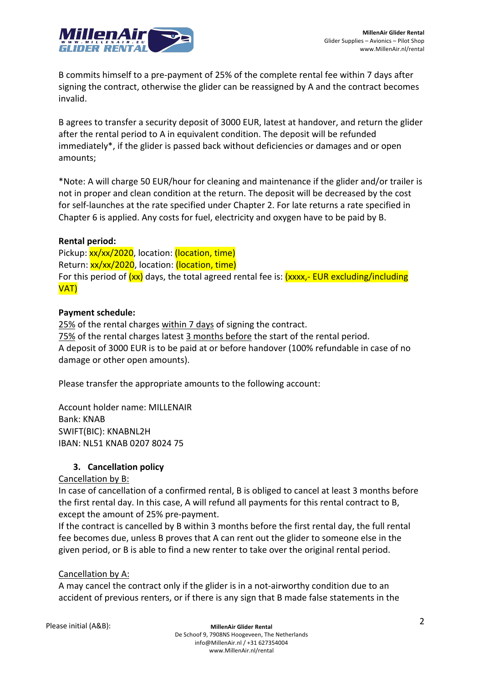

B commits himself to a pre-payment of 25% of the complete rental fee within 7 days after signing the contract, otherwise the glider can be reassigned by A and the contract becomes invalid.

B agrees to transfer a security deposit of 3000 EUR, latest at handover, and return the glider after the rental period to A in equivalent condition. The deposit will be refunded immediately\*, if the glider is passed back without deficiencies or damages and or open amounts;

\*Note: A will charge 50 EUR/hour for cleaning and maintenance if the glider and/or trailer is not in proper and clean condition at the return. The deposit will be decreased by the cost for self-launches at the rate specified under Chapter 2. For late returns a rate specified in Chapter 6 is applied. Any costs for fuel, electricity and oxygen have to be paid by B.

### **Rental period:**

Pickup: xx/xx/2020, location: (location, time) Return: xx/xx/2020, location: (location, time) For this period of  $(xx)$  days, the total agreed rental fee is:  $(xxxx,-EUR)^2$  excluding/including VAT)

### **Payment schedule:**

25% of the rental charges within 7 days of signing the contract. 75% of the rental charges latest 3 months before the start of the rental period. A deposit of 3000 EUR is to be paid at or before handover (100% refundable in case of no damage or other open amounts).

Please transfer the appropriate amounts to the following account:

Account holder name: MILLENAIR Bank: KNAB SWIFT(BIC): KNABNL2H IBAN: NL51 KNAB 0207 8024 75

## **3. Cancellation policy**

### Cancellation by B:

In case of cancellation of a confirmed rental, B is obliged to cancel at least 3 months before the first rental day. In this case, A will refund all payments for this rental contract to B, except the amount of 25% pre-payment.

If the contract is cancelled by B within 3 months before the first rental day, the full rental fee becomes due, unless B proves that A can rent out the glider to someone else in the given period, or B is able to find a new renter to take over the original rental period.

### Cancellation by A:

A may cancel the contract only if the glider is in a not-airworthy condition due to an accident of previous renters, or if there is any sign that B made false statements in the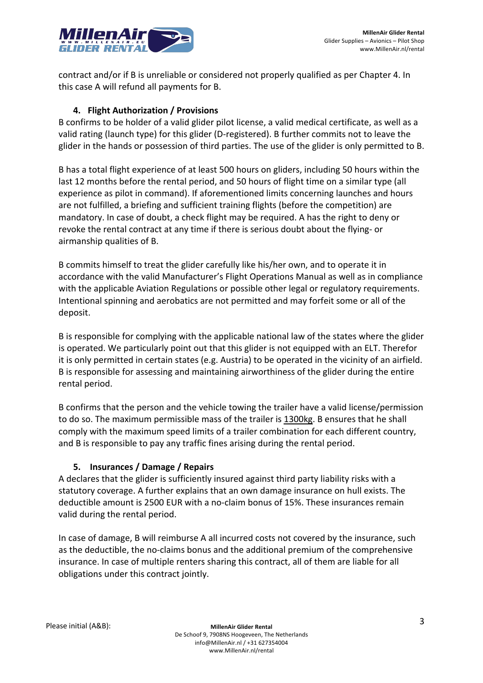

contract and/or if B is unreliable or considered not properly qualified as per Chapter 4. In this case A will refund all payments for B.

## **4. Flight Authorization / Provisions**

B confirms to be holder of a valid glider pilot license, a valid medical certificate, as well as a valid rating (launch type) for this glider (D-registered). B further commits not to leave the glider in the hands or possession of third parties. The use of the glider is only permitted to B.

B has a total flight experience of at least 500 hours on gliders, including 50 hours within the last 12 months before the rental period, and 50 hours of flight time on a similar type (all experience as pilot in command). If aforementioned limits concerning launches and hours are not fulfilled, a briefing and sufficient training flights (before the competition) are mandatory. In case of doubt, a check flight may be required. A has the right to deny or revoke the rental contract at any time if there is serious doubt about the flying- or airmanship qualities of B.

B commits himself to treat the glider carefully like his/her own, and to operate it in accordance with the valid Manufacturer's Flight Operations Manual as well as in compliance with the applicable Aviation Regulations or possible other legal or regulatory requirements. Intentional spinning and aerobatics are not permitted and may forfeit some or all of the deposit.

B is responsible for complying with the applicable national law of the states where the glider is operated. We particularly point out that this glider is not equipped with an ELT. Therefor it is only permitted in certain states (e.g. Austria) to be operated in the vicinity of an airfield. B is responsible for assessing and maintaining airworthiness of the glider during the entire rental period.

B confirms that the person and the vehicle towing the trailer have a valid license/permission to do so. The maximum permissible mass of the trailer is 1300kg. B ensures that he shall comply with the maximum speed limits of a trailer combination for each different country, and B is responsible to pay any traffic fines arising during the rental period.

## **5. Insurances / Damage / Repairs**

A declares that the glider is sufficiently insured against third party liability risks with a statutory coverage. A further explains that an own damage insurance on hull exists. The deductible amount is 2500 EUR with a no-claim bonus of 15%. These insurances remain valid during the rental period.

In case of damage, B will reimburse A all incurred costs not covered by the insurance, such as the deductible, the no-claims bonus and the additional premium of the comprehensive insurance. In case of multiple renters sharing this contract, all of them are liable for all obligations under this contract jointly.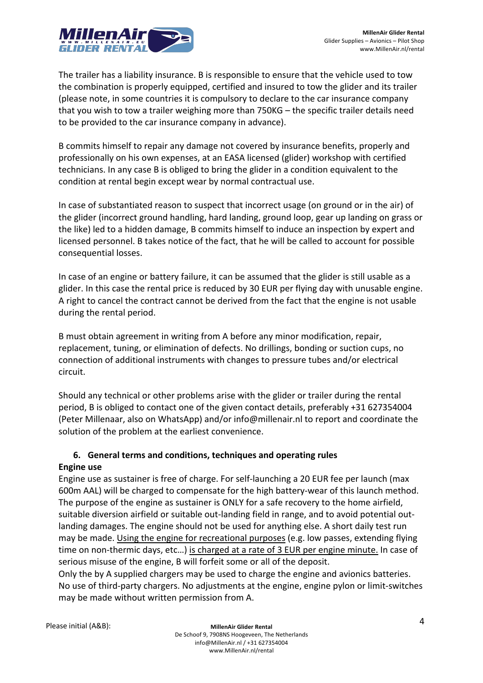

The trailer has a liability insurance. B is responsible to ensure that the vehicle used to tow the combination is properly equipped, certified and insured to tow the glider and its trailer (please note, in some countries it is compulsory to declare to the car insurance company that you wish to tow a trailer weighing more than 750KG – the specific trailer details need to be provided to the car insurance company in advance).

B commits himself to repair any damage not covered by insurance benefits, properly and professionally on his own expenses, at an EASA licensed (glider) workshop with certified technicians. In any case B is obliged to bring the glider in a condition equivalent to the condition at rental begin except wear by normal contractual use.

In case of substantiated reason to suspect that incorrect usage (on ground or in the air) of the glider (incorrect ground handling, hard landing, ground loop, gear up landing on grass or the like) led to a hidden damage, B commits himself to induce an inspection by expert and licensed personnel. B takes notice of the fact, that he will be called to account for possible consequential losses.

In case of an engine or battery failure, it can be assumed that the glider is still usable as a glider. In this case the rental price is reduced by 30 EUR per flying day with unusable engine. A right to cancel the contract cannot be derived from the fact that the engine is not usable during the rental period.

B must obtain agreement in writing from A before any minor modification, repair, replacement, tuning, or elimination of defects. No drillings, bonding or suction cups, no connection of additional instruments with changes to pressure tubes and/or electrical circuit.

Should any technical or other problems arise with the glider or trailer during the rental period, B is obliged to contact one of the given contact details, preferably +31 627354004 (Peter Millenaar, also on WhatsApp) and/or info@millenair.nl to report and coordinate the solution of the problem at the earliest convenience.

## **6. General terms and conditions, techniques and operating rules**

## **Engine use**

Engine use as sustainer is free of charge. For self-launching a 20 EUR fee per launch (max 600m AAL) will be charged to compensate for the high battery-wear of this launch method. The purpose of the engine as sustainer is ONLY for a safe recovery to the home airfield, suitable diversion airfield or suitable out-landing field in range, and to avoid potential outlanding damages. The engine should not be used for anything else. A short daily test run may be made. Using the engine for recreational purposes (e.g. low passes, extending flying time on non-thermic days, etc…) is charged at a rate of 3 EUR per engine minute. In case of serious misuse of the engine, B will forfeit some or all of the deposit.

Only the by A supplied chargers may be used to charge the engine and avionics batteries. No use of third-party chargers. No adjustments at the engine, engine pylon or limit-switches may be made without written permission from A.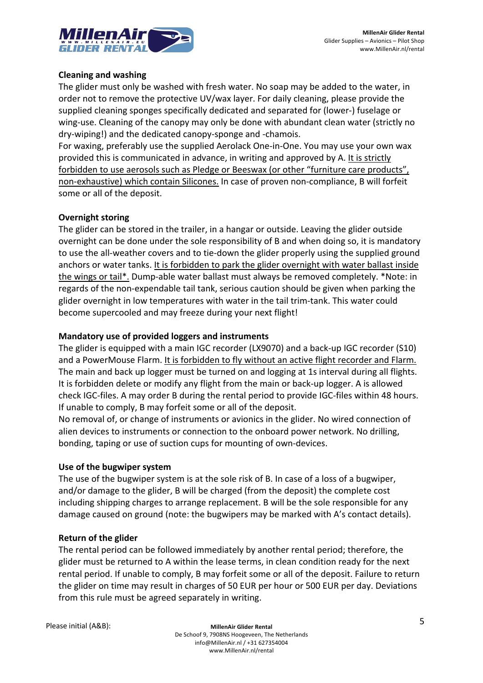

### **Cleaning and washing**

The glider must only be washed with fresh water. No soap may be added to the water, in order not to remove the protective UV/wax layer. For daily cleaning, please provide the supplied cleaning sponges specifically dedicated and separated for (lower-) fuselage or wing-use. Cleaning of the canopy may only be done with abundant clean water (strictly no dry-wiping!) and the dedicated canopy-sponge and -chamois.

For waxing, preferably use the supplied Aerolack One-in-One. You may use your own wax provided this is communicated in advance, in writing and approved by A. It is strictly forbidden to use aerosols such as Pledge or Beeswax (or other "furniture care products", non-exhaustive) which contain Silicones. In case of proven non-compliance, B will forfeit some or all of the deposit.

### **Overnight storing**

The glider can be stored in the trailer, in a hangar or outside. Leaving the glider outside overnight can be done under the sole responsibility of B and when doing so, it is mandatory to use the all-weather covers and to tie-down the glider properly using the supplied ground anchors or water tanks. It is forbidden to park the glider overnight with water ballast inside the wings or tail\*. Dump-able water ballast must always be removed completely. \*Note: in regards of the non-expendable tail tank, serious caution should be given when parking the glider overnight in low temperatures with water in the tail trim-tank. This water could become supercooled and may freeze during your next flight!

#### **Mandatory use of provided loggers and instruments**

The glider is equipped with a main IGC recorder (LX9070) and a back-up IGC recorder (S10) and a PowerMouse Flarm. It is forbidden to fly without an active flight recorder and Flarm. The main and back up logger must be turned on and logging at 1s interval during all flights. It is forbidden delete or modify any flight from the main or back-up logger. A is allowed check IGC-files. A may order B during the rental period to provide IGC-files within 48 hours. If unable to comply, B may forfeit some or all of the deposit.

No removal of, or change of instruments or avionics in the glider. No wired connection of alien devices to instruments or connection to the onboard power network. No drilling, bonding, taping or use of suction cups for mounting of own-devices.

#### **Use of the bugwiper system**

The use of the bugwiper system is at the sole risk of B. In case of a loss of a bugwiper, and/or damage to the glider, B will be charged (from the deposit) the complete cost including shipping charges to arrange replacement. B will be the sole responsible for any damage caused on ground (note: the bugwipers may be marked with A's contact details).

#### **Return of the glider**

The rental period can be followed immediately by another rental period; therefore, the glider must be returned to A within the lease terms, in clean condition ready for the next rental period. If unable to comply, B may forfeit some or all of the deposit. Failure to return the glider on time may result in charges of 50 EUR per hour or 500 EUR per day. Deviations from this rule must be agreed separately in writing.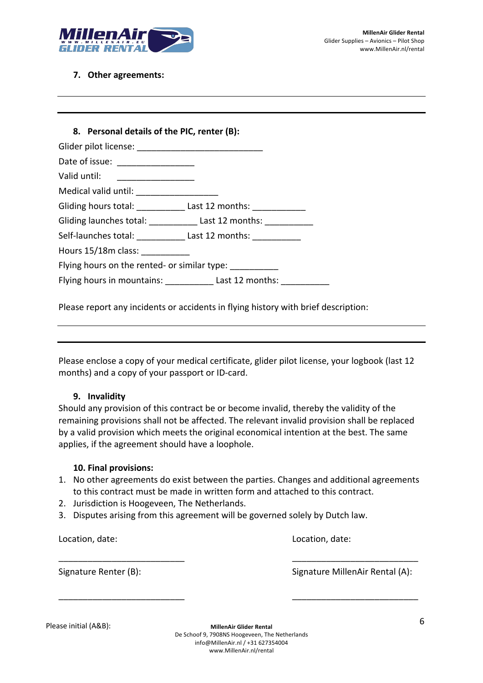

#### **7. Other agreements:**

| Date of issue: ___________________                       |                                                            |
|----------------------------------------------------------|------------------------------------------------------------|
| Valid until: ____________________                        |                                                            |
| Medical valid until: _________________                   |                                                            |
|                                                          | Gliding hours total: Last 12 months: Last 12 months:       |
|                                                          | Gliding launches total: Last 12 months:                    |
|                                                          | Self-launches total: Last 12 months:                       |
| Hours 15/18m class:                                      |                                                            |
| Flying hours on the rented- or similar type: ___________ |                                                            |
|                                                          | Flying hours in mountains: Last 12 months: Last 12 months: |

Please report any incidents or accidents in flying history with brief description:

Please enclose a copy of your medical certificate, glider pilot license, your logbook (last 12 months) and a copy of your passport or ID-card.

#### **9. Invalidity**

Should any provision of this contract be or become invalid, thereby the validity of the remaining provisions shall not be affected. The relevant invalid provision shall be replaced by a valid provision which meets the original economical intention at the best. The same applies, if the agreement should have a loophole.

### **10. Final provisions:**

1. No other agreements do exist between the parties. Changes and additional agreements to this contract must be made in written form and attached to this contract.

\_\_\_\_\_\_\_\_\_\_\_\_\_\_\_\_\_\_\_\_\_\_\_\_\_\_ \_\_\_\_\_\_\_\_\_\_\_\_\_\_\_\_\_\_\_\_\_\_\_\_\_\_

 $-$  . The contract of the contract of the contract of the contract of the contract of the contract of the contract of the contract of the contract of the contract of the contract of the contract of the contract of the con

- 2. Jurisdiction is Hoogeveen, The Netherlands.
- 3. Disputes arising from this agreement will be governed solely by Dutch law.

Location, date: Location, date:

Signature Renter (B): Signature MillenAir Rental (A):

**MillenAir Glider Rental** De Schoof 9, 7908NS Hoogeveen, The Netherlands info@MillenAir.nl / +31 627354004 www.MillenAir.nl/rental 6 Please initial (A&B):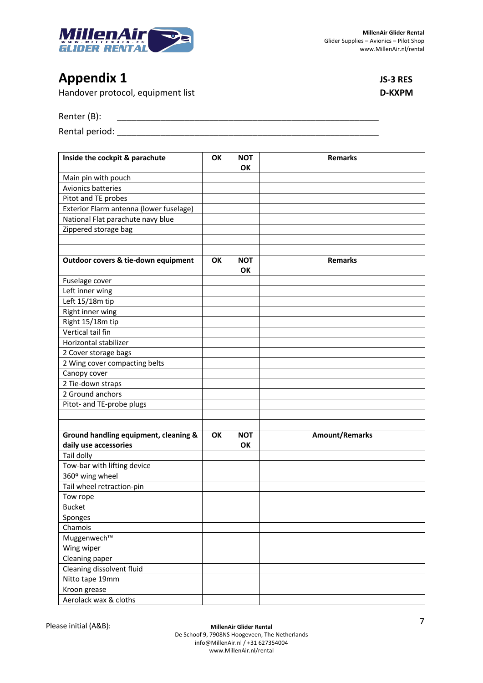

# **Appendix 1 JS-3 RES**

Handover protocol, equipment list **D-KXPM**

Renter (B): \_\_\_\_\_\_\_\_\_\_\_\_\_\_\_\_\_\_\_\_\_\_\_\_\_\_\_\_\_\_\_\_\_\_\_\_\_\_\_\_\_\_\_\_\_\_\_\_\_\_\_\_\_\_

Rental period: \_\_\_\_\_\_\_\_\_\_\_\_\_\_\_\_\_\_\_\_\_\_\_\_\_\_\_\_\_\_\_\_\_\_\_\_\_\_\_\_\_\_\_\_\_\_\_\_\_\_\_\_\_\_

| Inside the cockpit & parachute          | OK        | <b>NOT</b><br><b>OK</b> | <b>Remarks</b>        |
|-----------------------------------------|-----------|-------------------------|-----------------------|
| Main pin with pouch                     |           |                         |                       |
| Avionics batteries                      |           |                         |                       |
| Pitot and TE probes                     |           |                         |                       |
| Exterior Flarm antenna (lower fuselage) |           |                         |                       |
| National Flat parachute navy blue       |           |                         |                       |
| Zippered storage bag                    |           |                         |                       |
|                                         |           |                         |                       |
|                                         |           |                         |                       |
| Outdoor covers & tie-down equipment     | <b>OK</b> | <b>NOT</b><br><b>OK</b> | <b>Remarks</b>        |
| Fuselage cover                          |           |                         |                       |
| Left inner wing                         |           |                         |                       |
| Left 15/18m tip                         |           |                         |                       |
| Right inner wing                        |           |                         |                       |
| Right 15/18m tip                        |           |                         |                       |
| Vertical tail fin                       |           |                         |                       |
| Horizontal stabilizer                   |           |                         |                       |
| 2 Cover storage bags                    |           |                         |                       |
| 2 Wing cover compacting belts           |           |                         |                       |
| Canopy cover                            |           |                         |                       |
| 2 Tie-down straps                       |           |                         |                       |
| 2 Ground anchors                        |           |                         |                       |
| Pitot- and TE-probe plugs               |           |                         |                       |
|                                         |           |                         |                       |
|                                         |           |                         |                       |
| Ground handling equipment, cleaning &   | <b>OK</b> | <b>NOT</b>              | <b>Amount/Remarks</b> |
| daily use accessories                   |           | OK                      |                       |
| Tail dolly                              |           |                         |                       |
| Tow-bar with lifting device             |           |                         |                       |
| 360º wing wheel                         |           |                         |                       |
| Tail wheel retraction-pin               |           |                         |                       |
| Tow rope                                |           |                         |                       |
| <b>Bucket</b>                           |           |                         |                       |
| Sponges                                 |           |                         |                       |
| Chamois                                 |           |                         |                       |
| Muggenwech™                             |           |                         |                       |
| Wing wiper                              |           |                         |                       |
| Cleaning paper                          |           |                         |                       |
| Cleaning dissolvent fluid               |           |                         |                       |
| Nitto tape 19mm                         |           |                         |                       |
| Kroon grease                            |           |                         |                       |
| Aerolack wax & cloths                   |           |                         |                       |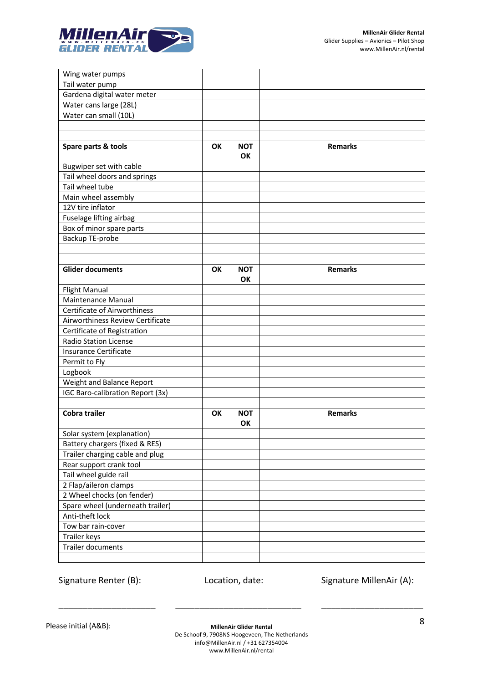

| Wing water pumps                    |           |            |                |
|-------------------------------------|-----------|------------|----------------|
| Tail water pump                     |           |            |                |
| Gardena digital water meter         |           |            |                |
| Water cans large (28L)              |           |            |                |
| Water can small (10L)               |           |            |                |
|                                     |           |            |                |
|                                     |           |            |                |
| Spare parts & tools                 | <b>OK</b> | <b>NOT</b> | <b>Remarks</b> |
|                                     |           | <b>OK</b>  |                |
| Bugwiper set with cable             |           |            |                |
| Tail wheel doors and springs        |           |            |                |
| Tail wheel tube                     |           |            |                |
| Main wheel assembly                 |           |            |                |
| 12V tire inflator                   |           |            |                |
| Fuselage lifting airbag             |           |            |                |
| Box of minor spare parts            |           |            |                |
| Backup TE-probe                     |           |            |                |
|                                     |           |            |                |
|                                     |           |            |                |
| <b>Glider documents</b>             | OK        | <b>NOT</b> | <b>Remarks</b> |
|                                     |           | OK         |                |
| <b>Flight Manual</b>                |           |            |                |
| <b>Maintenance Manual</b>           |           |            |                |
| <b>Certificate of Airworthiness</b> |           |            |                |
| Airworthiness Review Certificate    |           |            |                |
| Certificate of Registration         |           |            |                |
| <b>Radio Station License</b>        |           |            |                |
| Insurance Certificate               |           |            |                |
| Permit to Fly                       |           |            |                |
| Logbook                             |           |            |                |
| Weight and Balance Report           |           |            |                |
| IGC Baro-calibration Report (3x)    |           |            |                |
|                                     |           |            |                |
| Cobra trailer                       | OΚ        | <b>NOT</b> | <b>Remarks</b> |
|                                     |           | OK         |                |
| Solar system (explanation)          |           |            |                |
| Battery chargers (fixed & RES)      |           |            |                |
| Trailer charging cable and plug     |           |            |                |
| Rear support crank tool             |           |            |                |
| Tail wheel guide rail               |           |            |                |
| 2 Flap/aileron clamps               |           |            |                |
| 2 Wheel chocks (on fender)          |           |            |                |
| Spare wheel (underneath trailer)    |           |            |                |
| Anti-theft lock                     |           |            |                |
| Tow bar rain-cover                  |           |            |                |
| Trailer keys                        |           |            |                |
| Trailer documents                   |           |            |                |
|                                     |           |            |                |

Signature Renter (B): Location, date: Signature MillenAir (A):

\_\_\_\_\_\_\_\_\_\_\_\_\_\_\_\_\_\_\_\_ \_\_\_\_\_\_\_\_\_\_\_\_\_\_\_\_\_\_\_\_\_\_\_\_\_\_ \_\_\_\_\_\_\_\_\_\_\_\_\_\_\_\_\_\_\_\_\_